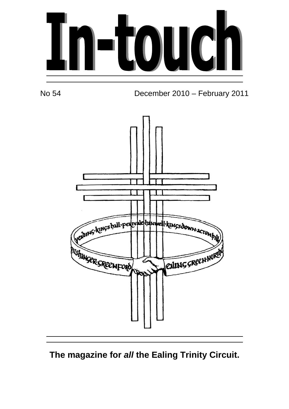



No 54 December 2010 – February 2011



## **The magazine for all the Ealing Trinity Circuit.**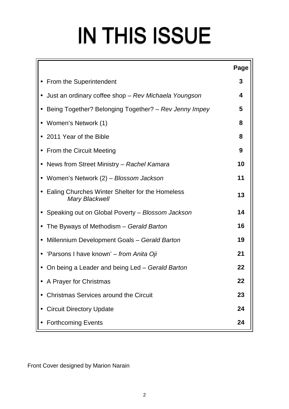# IN THIS ISSUE

|                                                                          | Page |
|--------------------------------------------------------------------------|------|
| • From the Superintendent                                                | 3    |
| • Just an ordinary coffee shop – Rev Michaela Youngson                   | 4    |
| Being Together? Belonging Together? – Rev Jenny Impey                    | 5    |
| • Women's Network (1)                                                    | 8    |
| • 2011 Year of the Bible                                                 | 8    |
| • From the Circuit Meeting                                               | 9    |
| • News from Street Ministry – Rachel Kamara                              | 10   |
| • Women's Network (2) – Blossom Jackson                                  | 11   |
| Ealing Churches Winter Shelter for the Homeless<br><b>Mary Blackwell</b> | 13   |
| Speaking out on Global Poverty - Blossom Jackson                         | 14   |
| The Byways of Methodism - Gerald Barton                                  | 16   |
| Millennium Development Goals - Gerald Barton<br>$\bullet$                | 19   |
| • 'Parsons I have known' – from Anita Oji                                | 21   |
| On being a Leader and being Led – Gerald Barton                          | 22   |
| A Prayer for Christmas                                                   | 22   |
| <b>Christmas Services around the Circuit</b>                             | 23   |
| <b>Circuit Directory Update</b>                                          | 24   |
| <b>Forthcoming Events</b>                                                | 24   |

Front Cover designed by Marion Narain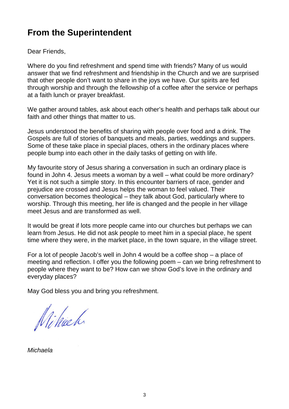## **From the Superintendent**

Dear Friends,

Where do you find refreshment and spend time with friends? Many of us would answer that we find refreshment and friendship in the Church and we are surprised that other people don't want to share in the joys we have. Our spirits are fed through worship and through the fellowship of a coffee after the service or perhaps at a faith lunch or prayer breakfast.

We gather around tables, ask about each other's health and perhaps talk about our faith and other things that matter to us.

Jesus understood the benefits of sharing with people over food and a drink. The Gospels are full of stories of banquets and meals, parties, weddings and suppers. Some of these take place in special places, others in the ordinary places where people bump into each other in the daily tasks of getting on with life.

My favourite story of Jesus sharing a conversation in such an ordinary place is found in John 4. Jesus meets a woman by a well – what could be more ordinary? Yet it is not such a simple story. In this encounter barriers of race, gender and prejudice are crossed and Jesus helps the woman to feel valued. Their conversation becomes theological – they talk about God, particularly where to worship. Through this meeting, her life is changed and the people in her village meet Jesus and are transformed as well.

It would be great if lots more people came into our churches but perhaps we can learn from Jesus. He did not ask people to meet him in a special place, he spent time where they were, in the market place, in the town square, in the village street.

For a lot of people Jacob's well in John 4 would be a coffee shop – a place of meeting and reflection. I offer you the following poem – can we bring refreshment to people where they want to be? How can we show God's love in the ordinary and everyday places?

May God bless you and bring you refreshment.

Nihach

Michaela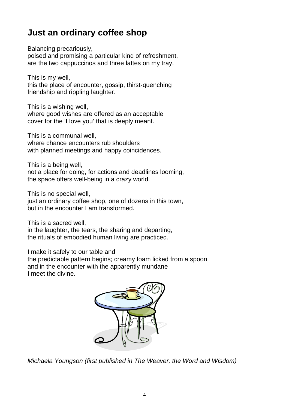## **Just an ordinary coffee shop**

Balancing precariously,

poised and promising a particular kind of refreshment, are the two cappuccinos and three lattes on my tray.

This is my well,

this the place of encounter, gossip, thirst-quenching friendship and rippling laughter.

This is a wishing well,

where good wishes are offered as an acceptable cover for the 'I love you' that is deeply meant.

This is a communal well, where chance encounters rub shoulders with planned meetings and happy coincidences.

This is a being well, not a place for doing, for actions and deadlines looming, the space offers well-being in a crazy world.

This is no special well,

just an ordinary coffee shop, one of dozens in this town, but in the encounter I am transformed.

This is a sacred well,

in the laughter, the tears, the sharing and departing, the rituals of embodied human living are practiced.

I make it safely to our table and

the predictable pattern begins; creamy foam licked from a spoon and in the encounter with the apparently mundane I meet the divine.



Michaela Youngson (first published in The Weaver, the Word and Wisdom)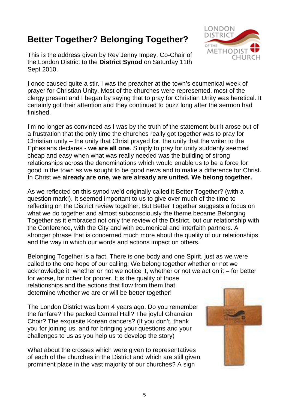## **Better Together? Belonging Together?**

This is the address given by Rev Jenny Impey, Co-Chair of the London District to the **District Synod** on Saturday 11th Sept 2010.



I once caused quite a stir. I was the preacher at the town's ecumenical week of prayer for Christian Unity. Most of the churches were represented, most of the clergy present and I began by saying that to pray for Christian Unity was heretical. It certainly got their attention and they continued to buzz long after the sermon had finished.

I'm no longer as convinced as I was by the truth of the statement but it arose out of a frustration that the only time the churches really got together was to pray for Christian unity – the unity that Christ prayed for, the unity that the writer to the Ephesians declares - **we are all one**. Simply to pray for unity suddenly seemed cheap and easy when what was really needed was the building of strong relationships across the denominations which would enable us to be a force for good in the town as we sought to be good news and to make a difference for Christ. In Christ we **already are one, we are already are united. We belong together.**

As we reflected on this synod we'd originally called it Better Together? (with a question mark!). It seemed important to us to give over much of the time to reflecting on the District review together. But Better Together suggests a focus on what we do together and almost subconsciously the theme became Belonging Together as it embraced not only the review of the District, but our relationship with the Conference, with the City and with ecumenical and interfaith partners. A stronger phrase that is concerned much more about the quality of our relationships and the way in which our words and actions impact on others.

Belonging Together is a fact. There is one body and one Spirit, just as we were called to the one hope of our calling. We belong together whether or not we acknowledge it; whether or not we notice it, whether or not we act on it – for better for worse, for richer for poorer. It is the quality of those

relationships and the actions that flow from them that determine whether we are or will be better together!

The London District was born 4 years ago. Do you remember the fanfare? The packed Central Hall? The joyful Ghanaian Choir? The exquisite Korean dancers? (If you don't, thank you for joining us, and for bringing your questions and your challenges to us as you help us to develop the story)

What about the crosses which were given to representatives of each of the churches in the District and which are still given prominent place in the vast majority of our churches? A sign

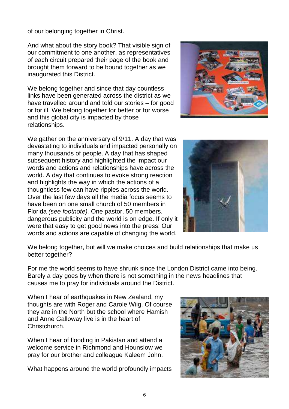of our belonging together in Christ.

And what about the story book? That visible sign of our commitment to one another, as representatives of each circuit prepared their page of the book and brought them forward to be bound together as we inaugurated this District.

We belong together and since that day countless links have been generated across the district as we have travelled around and told our stories – for good or for ill. We belong together for better or for worse and this global city is impacted by those relationships.



We gather on the anniversary of 9/11. A day that was devastating to individuals and impacted personally on many thousands of people. A day that has shaped subsequent history and highlighted the impact our words and actions and relationships have across the world. A day that continues to evoke strong reaction and highlights the way in which the actions of a thoughtless few can have ripples across the world. Over the last few days all the media focus seems to have been on one small church of 50 members in Florida (see footnote). One pastor, 50 members, dangerous publicity and the world is on edge. If only it were that easy to get good news into the press! Our words and actions are capable of changing the world.



We belong together, but will we make choices and build relationships that make us better together?

For me the world seems to have shrunk since the London District came into being. Barely a day goes by when there is not something in the news headlines that causes me to pray for individuals around the District.

When I hear of earthquakes in New Zealand, my thoughts are with Roger and Carole Wiig. Of course they are in the North but the school where Hamish and Anne Galloway live is in the heart of Christchurch.

When I hear of flooding in Pakistan and attend a welcome service in Richmond and Hounslow we pray for our brother and colleague Kaleem John.

What happens around the world profoundly impacts

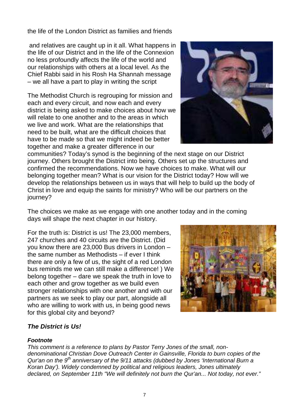the life of the London District as families and friends

 and relatives are caught up in it all. What happens in the life of our District and in the life of the Connexion no less profoundly affects the life of the world and our relationships with others at a local level. As the Chief Rabbi said in his Rosh Ha Shannah message – we all have a part to play in writing the script

The Methodist Church is regrouping for mission and each and every circuit, and now each and every district is being asked to make choices about how we will relate to one another and to the areas in which we live and work. What are the relationships that need to be built, what are the difficult choices that have to be made so that we might indeed be better together and make a greater difference in our



communities? Today's synod is the beginning of the next stage on our District journey. Others brought the District into being. Others set up the structures and confirmed the recommendations. Now we have choices to make. What will our belonging together mean? What is our vision for the District today? How will we develop the relationships between us in ways that will help to build up the body of Christ in love and equip the saints for ministry? Who will be our partners on the journey?

The choices we make as we engage with one another today and in the coming days will shape the next chapter in our history.

For the truth is: District is us! The 23,000 members, 247 churches and 40 circuits are the District. (Did you know there are 23,000 Bus drivers in London – the same number as Methodists – if ever I think there are only a few of us, the sight of a red London bus reminds me we can still make a difference! ) We belong together – dare we speak the truth in love to each other and grow together as we build even stronger relationships with one another and with our partners as we seek to play our part, alongside all who are willing to work with us, in being good news for this global city and beyond?



#### **The District is Us!**

#### **Footnote**

This comment is a reference to plans by Pastor Terry Jones of the small, nondenominational Christian Dove Outreach Center in Gainsville, Florida to burn copies of the Qur'an on the  $9<sup>th</sup>$  anniversary of the  $9/11$  attacks (dubbed by Jones 'International Burn a Koran Day'). Widely condemned by political and religious leaders, Jones ultimately declared, on September 11th "We will definitely not burn the Qur'an... Not today, not ever."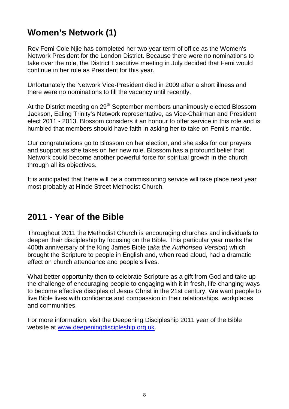## **Women's Network (1)**

Rev Femi Cole Njie has completed her two year term of office as the Women's Network President for the London District. Because there were no nominations to take over the role, the District Executive meeting in July decided that Femi would continue in her role as President for this year.

Unfortunately the Network Vice-President died in 2009 after a short illness and there were no nominations to fill the vacancy until recently.

At the District meeting on 29<sup>th</sup> September members unanimously elected Blossom Jackson, Ealing Trinity's Network representative, as Vice-Chairman and President elect 2011 - 2013. Blossom considers it an honour to offer service in this role and is humbled that members should have faith in asking her to take on Femi's mantle.

Our congratulations go to Blossom on her election, and she asks for our prayers and support as she takes on her new role. Blossom has a profound belief that Network could become another powerful force for spiritual growth in the church through all its objectives.

It is anticipated that there will be a commissioning service will take place next year most probably at Hinde Street Methodist Church.

## **2011 - Year of the Bible**

Throughout 2011 the Methodist Church is encouraging churches and individuals to deepen their discipleship by focusing on the Bible. This particular year marks the 400th anniversary of the King James Bible (aka the Authorised Version) which brought the Scripture to people in English and, when read aloud, had a dramatic effect on church attendance and people's lives.

What better opportunity then to celebrate Scripture as a gift from God and take up the challenge of encouraging people to engaging with it in fresh, life-changing ways to become effective disciples of Jesus Christ in the 21st century. We want people to live Bible lives with confidence and compassion in their relationships, workplaces and communities.

For more information, visit the Deepening Discipleship 2011 year of the Bible website at www.deepeningdiscipleship.org.uk.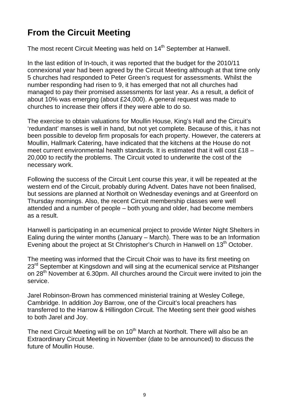## **From the Circuit Meeting**

The most recent Circuit Meeting was held on 14<sup>th</sup> September at Hanwell.

In the last edition of In-touch, it was reported that the budget for the 2010/11 connexional year had been agreed by the Circuit Meeting although at that time only 5 churches had responded to Peter Green's request for assessments. Whilst the number responding had risen to 9, it has emerged that not all churches had managed to pay their promised assessments for last year. As a result, a deficit of about 10% was emerging (about £24,000). A general request was made to churches to increase their offers if they were able to do so.

The exercise to obtain valuations for Moullin House, King's Hall and the Circuit's 'redundant' manses is well in hand, but not yet complete. Because of this, it has not been possible to develop firm proposals for each property. However, the caterers at Moullin, Hallmark Catering, have indicated that the kitchens at the House do not meet current environmental health standards. It is estimated that it will cost £18 – 20,000 to rectify the problems. The Circuit voted to underwrite the cost of the necessary work.

Following the success of the Circuit Lent course this year, it will be repeated at the western end of the Circuit, probably during Advent. Dates have not been finalised, but sessions are planned at Northolt on Wednesday evenings and at Greenford on Thursday mornings. Also, the recent Circuit membership classes were well attended and a number of people – both young and older, had become members as a result.

Hanwell is participating in an ecumenical project to provide Winter Night Shelters in Ealing during the winter months (January – March). There was to be an Information Evening about the project at St Christopher's Church in Hanwell on 13<sup>th</sup> October.

The meeting was informed that the Circuit Choir was to have its first meeting on 23<sup>rd</sup> September at Kingsdown and will sing at the ecumenical service at Pitshanger on 28<sup>th</sup> November at 6.30pm. All churches around the Circuit were invited to join the service.

Jarel Robinson-Brown has commenced ministerial training at Wesley College, Cambridge. In addition Joy Barrow, one of the Circuit's local preachers has transferred to the Harrow & Hillingdon Circuit. The Meeting sent their good wishes to both Jarel and Joy.

The next Circuit Meeting will be on 10<sup>th</sup> March at Northolt. There will also be an Extraordinary Circuit Meeting in November (date to be announced) to discuss the future of Moullin House.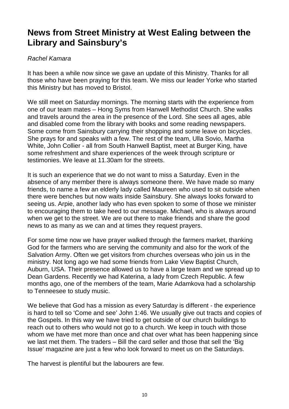## **News from Street Ministry at West Ealing between the Library and Sainsbury's**

#### Rachel Kamara

It has been a while now since we gave an update of this Ministry. Thanks for all those who have been praying for this team. We miss our leader Yorke who started this Ministry but has moved to Bristol.

We still meet on Saturday mornings. The morning starts with the experience from one of our team mates – Hong Syms from Hanwell Methodist Church. She walks and travels around the area in the presence of the Lord. She sees all ages, able and disabled come from the library with books and some reading newspapers. Some come from Sainsbury carrying their shopping and some leave on bicycles. She prays for and speaks with a few. The rest of the team, Ulla Sovio, Martha White, John Collier - all from South Hanwell Baptist, meet at Burger King, have some refreshment and share experiences of the week through scripture or testimonies. We leave at 11.30am for the streets.

It is such an experience that we do not want to miss a Saturday. Even in the absence of any member there is always someone there. We have made so many friends, to name a few an elderly lady called Maureen who used to sit outside when there were benches but now waits inside Sainsbury. She always looks forward to seeing us. Arpie, another lady who has even spoken to some of those we minister to encouraging them to take heed to our message. Michael, who is always around when we get to the street. We are out there to make friends and share the good news to as many as we can and at times they request prayers.

For some time now we have prayer walked through the farmers market, thanking God for the farmers who are serving the community and also for the work of the Salvation Army. Often we get visitors from churches overseas who join us in the ministry. Not long ago we had some friends from Lake View Baptist Church, Auburn, USA. Their presence allowed us to have a large team and we spread up to Dean Gardens. Recently we had Katerina, a lady from Czech Republic. A few months ago, one of the members of the team, Marie Adamkova had a scholarship to Tenneesee to study music.

We believe that God has a mission as every Saturday is different - the experience is hard to tell so 'Come and see' John 1:46. We usually give out tracts and copies of the Gospels. In this way we have tried to get outside of our church buildings to reach out to others who would not go to a church. We keep in touch with those whom we have met more than once and chat over what has been happening since we last met them. The traders – Bill the card seller and those that sell the 'Big Issue' magazine are just a few who look forward to meet us on the Saturdays.

The harvest is plentiful but the labourers are few.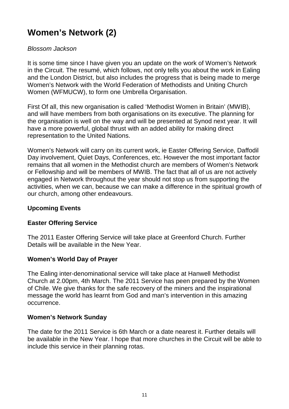## **Women's Network (2)**

#### Blossom Jackson

It is some time since I have given you an update on the work of Women's Network in the Circuit. The resumé, which follows, not only tells you about the work in Ealing and the London District, but also includes the progress that is being made to merge Women's Network with the World Federation of Methodists and Uniting Church Women (WFMUCW), to form one Umbrella Organisation.

First Of all, this new organisation is called 'Methodist Women in Britain' (MWIB), and will have members from both organisations on its executive. The planning for the organisation is well on the way and will be presented at Synod next year. It will have a more powerful, global thrust with an added ability for making direct representation to the United Nations.

Women's Network will carry on its current work, ie Easter Offering Service, Daffodil Day involvement, Quiet Days, Conferences, etc. However the most important factor remains that all women in the Methodist church are members of Women's Network or Fellowship and will be members of MWIB. The fact that all of us are not actively engaged in Network throughout the year should not stop us from supporting the activities, when we can, because we can make a difference in the spiritual growth of our church, among other endeavours.

#### **Upcoming Events**

#### **Easter Offering Service**

The 2011 Easter Offering Service will take place at Greenford Church. Further Details will be available in the New Year.

#### **Women's World Day of Prayer**

The Ealing inter-denominational service will take place at Hanwell Methodist Church at 2.00pm, 4th March. The 2011 Service has peen prepared by the Women of Chile. We give thanks for the safe recovery of the miners and the inspirational message the world has learnt from God and man's intervention in this amazing occurrence.

#### **Women's Network Sunday**

The date for the 2011 Service is 6th March or a date nearest it. Further details will be available in the New Year. I hope that more churches in the Circuit will be able to include this service in their planning rotas.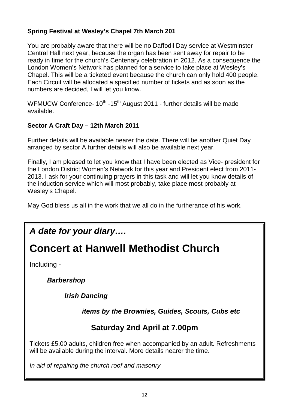#### **Spring Festival at Wesley's Chapel 7th March 201**

You are probably aware that there will be no Daffodil Day service at Westminster Central Hall next year, because the organ has been sent away for repair to be ready in time for the church's Centenary celebration in 2012. As a consequence the London Women's Network has planned for a service to take place at Wesley's Chapel. This will be a ticketed event because the church can only hold 400 people. Each Circuit will be allocated a specified number of tickets and as soon as the numbers are decided, I will let you know.

WFMUCW Conference- 10<sup>th</sup> -15<sup>th</sup> August 2011 - further details will be made available.

#### **Sector A Craft Day – 12th March 2011**

Further details will be available nearer the date. There will be another Quiet Day arranged by sector A further details will also be available next year.

Finally, I am pleased to let you know that I have been elected as Vice- president for the London District Women's Network for this year and President elect from 2011- 2013. I ask for your continuing prayers in this task and will let you know details of the induction service which will most probably, take place most probably at Wesley's Chapel.

May God bless us all in the work that we all do in the furtherance of his work.

## **A date for your diary….**

## **Concert at Hanwell Methodist Church**

Including -

**Barbershop** 

**Irish Dancing** 

**items by the Brownies, Guides, Scouts, Cubs etc** 

### **Saturday 2nd April at 7.00pm**

Tickets £5.00 adults, children free when accompanied by an adult. Refreshments will be available during the interval. More details nearer the time.

In aid of repairing the church roof and masonry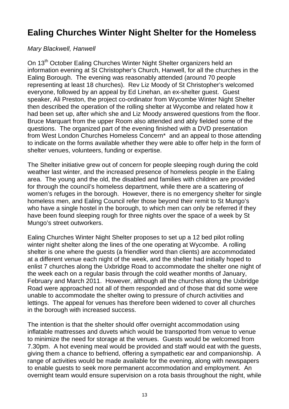## **Ealing Churches Winter Night Shelter for the Homeless**

#### Mary Blackwell, Hanwell

On 13<sup>th</sup> October Ealing Churches Winter Night Shelter organizers held an information evening at St Christopher's Church, Hanwell, for all the churches in the Ealing Borough. The evening was reasonably attended (around 70 people representing at least 18 churches). Rev Liz Moody of St Christopher's welcomed everyone, followed by an appeal by Ed Linehan, an ex-shelter guest. Guest speaker, Ali Preston, the project co-ordinator from Wycombe Winter Night Shelter then described the operation of the rolling shelter at Wycombe and related how it had been set up, after which she and Liz Moody answered questions from the floor. Bruce Marquart from the upper Room also attended and ably fielded some of the questions. The organized part of the evening finished with a DVD presentation from West London Churches Homeless Concern\* and an appeal to those attending to indicate on the forms available whether they were able to offer help in the form of shelter venues, volunteers, funding or expertise.

The Shelter initiative grew out of concern for people sleeping rough during the cold weather last winter, and the increased presence of homeless people in the Ealing area. The young and the old, the disabled and families with children are provided for through the council's homeless department, while there are a scattering of women's refuges in the borough. However, there is no emergency shelter for single homeless men, and Ealing Council refer those beyond their remit to St Mungo's who have a single hostel in the borough, to which men can only be referred if they have been found sleeping rough for three nights over the space of a week by St Mungo's street outworkers.

Ealing Churches Winter Night Shelter proposes to set up a 12 bed pilot rolling winter night shelter along the lines of the one operating at Wycombe. A rolling shelter is one where the guests (a friendlier word than clients) are accommodated at a different venue each night of the week, and the shelter had initially hoped to enlist 7 churches along the Uxbridge Road to accommodate the shelter one night of the week each on a regular basis through the cold weather months of January, February and March 2011. However, although all the churches along the Uxbridge Road were approached not all of them responded and of those that did some were unable to accommodate the shelter owing to pressure of church activities and lettings. The appeal for venues has therefore been widened to cover all churches in the borough with increased success.

The intention is that the shelter should offer overnight accommodation using inflatable mattresses and duvets which would be transported from venue to venue to minimize the need for storage at the venues. Guests would be welcomed from 7.30pm. A hot evening meal would be provided and staff would eat with the guests, giving them a chance to befriend, offering a sympathetic ear and companionship. A range of activities would be made available for the evening, along with newspapers to enable guests to seek more permanent accommodation and employment. An overnight team would ensure supervision on a rota basis throughout the night, while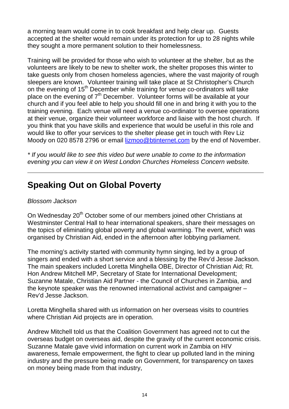a morning team would come in to cook breakfast and help clear up. Guests accepted at the shelter would remain under its protection for up to 28 nights while they sought a more permanent solution to their homelessness.

Training will be provided for those who wish to volunteer at the shelter, but as the volunteers are likely to be new to shelter work, the shelter proposes this winter to take guests only from chosen homeless agencies, where the vast majority of rough sleepers are known. Volunteer training will take place at St Christopher's Church on the evening of 15<sup>th</sup> December while training for venue co-ordinators will take place on the evening of  $7<sup>th</sup>$  December. Volunteer forms will be available at your church and if you feel able to help you should fill one in and bring it with you to the training evening. Each venue will need a venue co-ordinator to oversee operations at their venue, organize their volunteer workforce and liaise with the host church. If you think that you have skills and experience that would be useful in this role and would like to offer your services to the shelter please get in touch with Rev Liz Moody on 020 8578 2796 or email lizmoo@btinternet.com by the end of November.

\* If you would like to see this video but were unable to come to the information evening you can view it on West London Churches Homeless Concern website.

## **Speaking Out on Global Poverty**

#### Blossom Jackson

On Wednesday 20<sup>th</sup> October some of our members joined other Christians at Westminster Central Hall to hear international speakers, share their messages on the topics of eliminating global poverty and global warming. The event, which was organised by Christian Aid, ended in the afternoon after lobbying parliament.

The morning's activity started with community hymn singing, led by a group of singers and ended with a short service and a blessing by the Rev'd Jesse Jackson. The main speakers included Loretta Minghella OBE, Director of Christian Aid; Rt. Hon Andrew Mitchell MP, Secretary of State for International Development; Suzanne Matale, Christian Aid Partner - the Council of Churches in Zambia, and the keynote speaker was the renowned international activist and campaigner – Rev'd Jesse Jackson.

Loretta Minghella shared with us information on her overseas visits to countries where Christian Aid projects are in operation.

Andrew Mitchell told us that the Coalition Government has agreed not to cut the overseas budget on overseas aid, despite the gravity of the current economic crisis. Suzanne Matale gave vivid information on current work in Zambia on HIV awareness, female empowerment, the fight to clear up polluted land in the mining industry and the pressure being made on Government, for transparency on taxes on money being made from that industry,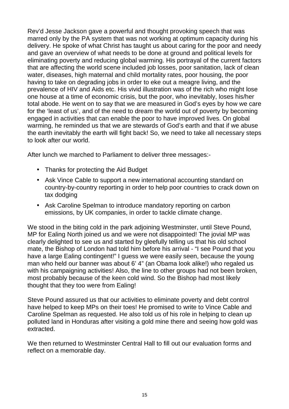Rev'd Jesse Jackson gave a powerful and thought provoking speech that was marred only by the PA system that was not working at optimum capacity during his delivery. He spoke of what Christ has taught us about caring for the poor and needy and gave an overview of what needs to be done at ground and political levels for eliminating poverty and reducing global warming. His portrayal of the current factors that are affecting the world scene included job losses, poor sanitation, lack of clean water, diseases, high maternal and child mortality rates, poor housing, the poor having to take on degrading jobs in order to eke out a meagre living, and the prevalence of HIV and Aids etc. His vivid illustration was of the rich who might lose one house at a time of economic crisis, but the poor, who inevitably, loses his/her total abode. He went on to say that we are measured in God's eyes by how we care for the 'least of us', and of the need to dream the world out of poverty by becoming engaged in activities that can enable the poor to have improved lives. On global warming, he reminded us that we are stewards of God's earth and that if we abuse the earth inevitably the earth will fight back! So, we need to take all necessary steps to look after our world.

After lunch we marched to Parliament to deliver three messages:-

- Thanks for protecting the Aid Budget
- Ask Vince Cable to support a new international accounting standard on country-by-country reporting in order to help poor countries to crack down on tax dodging
- Ask Caroline Spelman to introduce mandatory reporting on carbon emissions, by UK companies, in order to tackle climate change.

We stood in the biting cold in the park adjoining Westminster, until Steve Pound. MP for Ealing North joined us and we were not disappointed! The jovial MP was clearly delighted to see us and started by gleefully telling us that his old school mate, the Bishop of London had told him before his arrival - "I see Pound that you have a large Ealing contingent!" I guess we were easily seen, because the young man who held our banner was about 6' 4" (an Obama look alike!) who regaled us with his campaigning activities! Also, the line to other groups had not been broken. most probably because of the keen cold wind. So the Bishop had most likely thought that they too were from Ealing!

Steve Pound assured us that our activities to eliminate poverty and debt control have helped to keep MPs on their toes! He promised to write to Vince Cable and Caroline Spelman as requested. He also told us of his role in helping to clean up polluted land in Honduras after visiting a gold mine there and seeing how gold was extracted.

We then returned to Westminster Central Hall to fill out our evaluation forms and reflect on a memorable day.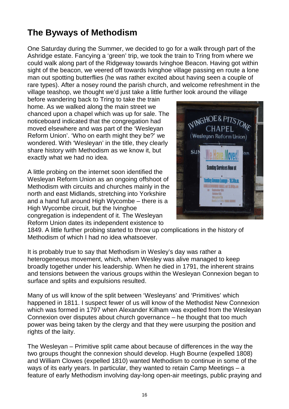## **The Byways of Methodism**

One Saturday during the Summer, we decided to go for a walk through part of the Ashridge estate. Fancying a 'green' trip, we took the train to Tring from where we could walk along part of the Ridgeway towards Ivinghoe Beacon. Having got within sight of the beacon, we veered off towards Ivinghoe village passing en route a lone man out spotting butterflies (he was rather excited about having seen a couple of rare types). After a nosey round the parish church, and welcome refreshment in the village teashop, we thought we'd just take a little further look around the village

before wandering back to Tring to take the train home. As we walked along the main street we chanced upon a chapel which was up for sale. The noticeboard indicated that the congregation had moved elsewhere and was part of the 'Wesleyan Reform Union'. 'Who on earth might they be?' we wondered. With 'Wesleyan' in the title, they clearly share history with Methodism as we know it, but exactly what we had no idea.

A little probing on the internet soon identified the Wesleyan Reform Union as an ongoing offshoot of Methodism with circuits and churches mainly in the north and east Midlands, stretching into Yorkshire and a hand full around High Wycombe – there is a High Wycombe circuit, but the Ivinghoe congregation is independent of it. The Wesleyan Reform Union dates its independent existence to



1849. A little further probing started to throw up complications in the history of Methodism of which I had no idea whatsoever.

It is probably true to say that Methodism in Wesley's day was rather a heterogeneous movement, which, when Wesley was alive managed to keep broadly together under his leadership. When he died in 1791, the inherent strains and tensions between the various groups within the Wesleyan Connexion began to surface and splits and expulsions resulted.

Many of us will know of the split between 'Wesleyans' and 'Primitives' which happened in 1811. I suspect fewer of us will know of the Methodist New Connexion which was formed in 1797 when Alexander Kilham was expelled from the Wesleyan Connexion over disputes about church governance – he thought that too much power was being taken by the clergy and that they were usurping the position and rights of the laity.

The Wesleyan – Primitive split came about because of differences in the way the two groups thought the connexion should develop. Hugh Bourne (expelled 1808) and William Clowes (expelled 1810) wanted Methodism to continue in some of the ways of its early years. In particular, they wanted to retain Camp Meetings – a feature of early Methodism involving day-long open-air meetings, public praying and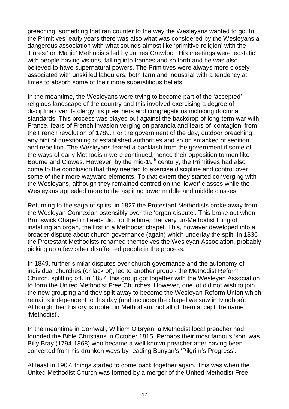preaching, something that ran counter to the way the Wesleyans wanted to go. In the Primitives' early years there was also what was considered by the Wesleyans a dangerous association with what sounds almost like 'primitive religion' with the 'Forest' or 'Magic' Methodists led by James Crawfoot. His meetings were 'ecstatic' with people having visions, falling into trances and so forth and he was also believed to have supernatural powers. The Primitives were always more closely associated with unskilled labourers, both farm and industrial with a tendency at times to absorb some of their more superstitious beliefs.

In the meantime, the Wesleyans were trying to become part of the 'accepted' religious landscape of the country and this involved exercising a degree of discipline over its clergy, its preachers and congregations including doctrinal standards. This process was played out against the backdrop of long-term war with France, fears of French invasion verging on paranoia and fears of 'contagion' from the French revolution of 1789. For the government of the day, outdoor preaching, any hint of questioning of established authorities and so on smacked of sedition and rebellion. The Wesleyans feared a backlash from the government if some of the ways of early Methodism were continued, hence their opposition to men like Bourne and Clowes. However, by the mid-19<sup>th</sup> century, the Primitives had also come to the conclusion that they needed to exercise discipline and control over some of their more wayward elements. To that extent they started converging with the Wesleyans, although they remained centred on the 'lower' classes while the Wesleyans appealed more to the aspiring lower middle and middle classes.

Returning to the saga of splits, in 1827 the Protestant Methodists broke away from the Wesleyan Connexion ostensibly over the 'organ dispute'. This broke out when Brunswick Chapel in Leeds did, for the time, that very un-Methodist thing of installing an organ, the first in a Methodist chapel. This, however developed into a broader dispute about church governance (again) which underlay the split. In 1836 the Protestant Methodists renamed themselves the Wesleyan Association, probably picking up a few other disaffected people in the process.

In 1849, further similar disputes over church governance and the autonomy of individual churches (or lack of), led to another group - the Methodist Reform Church, splitting off. In 1857, this group got together with the Wesleyan Association to form the United Methodist Free Churches. However, one lot did not wish to join the new grouping and they split away to become the Wesleyan Reform Union which remains independent to this day (and includes the chapel we saw in Ivinghoe). Although their history is rooted in Methodism, not all of them accept the name 'Methodist'.

In the meantime in Cornwall, William O'Bryan, a Methodist local preacher had founded the Bible Christians in October 1815. Perhaps their most famous 'son' was Billy Bray (1794-1868) who became a well known preacher after having been converted from his drunken ways by reading Bunyan's 'Pilgrim's Progress'.

At least in 1907, things started to come back together again. This was when the United Methodist Church was formed by a merger of the United Methodist Free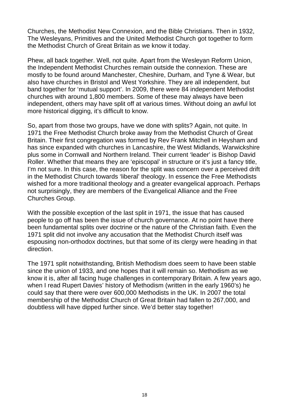Churches, the Methodist New Connexion, and the Bible Christians. Then in 1932, The Wesleyans, Primitives and the United Methodist Church got together to form the Methodist Church of Great Britain as we know it today.

Phew, all back together. Well, not quite. Apart from the Wesleyan Reform Union, the Independent Methodist Churches remain outside the connexion. These are mostly to be found around Manchester, Cheshire, Durham, and Tyne & Wear, but also have churches in Bristol and West Yorkshire. They are all independent, but band together for 'mutual support'. In 2009, there were 84 independent Methodist churches with around 1,800 members. Some of these may always have been independent, others may have split off at various times. Without doing an awful lot more historical digging, it's difficult to know.

So, apart from those two groups, have we done with splits? Again, not quite. In 1971 the Free Methodist Church broke away from the Methodist Church of Great Britain. Their first congregation was formed by Rev Frank Mitchell in Heysham and has since expanded with churches in Lancashire, the West Midlands, Warwickshire plus some in Cornwall and Northern Ireland. Their current 'leader' is Bishop David Roller. Whether that means they are 'episcopal' in structure or it's just a fancy title, I'm not sure. In this case, the reason for the split was concern over a perceived drift in the Methodist Church towards 'liberal' theology. In essence the Free Methodists wished for a more traditional theology and a greater evangelical approach. Perhaps not surprisingly, they are members of the Evangelical Alliance and the Free Churches Group.

With the possible exception of the last split in 1971, the issue that has caused people to go off has been the issue of church governance. At no point have there been fundamental splits over doctrine or the nature of the Christian faith. Even the 1971 split did not involve any accusation that the Methodist Church itself was espousing non-orthodox doctrines, but that some of its clergy were heading in that direction.

The 1971 split notwithstanding, British Methodism does seem to have been stable since the union of 1933, and one hopes that it will remain so. Methodism as we know it is, after all facing huge challenges in contemporary Britain. A few years ago, when I read Rupert Davies' history of Methodism (written in the early 1960's) he could say that there were over 600,000 Methodists in the UK. In 2007 the total membership of the Methodist Church of Great Britain had fallen to 267,000, and doubtless will have dipped further since. We'd better stay together!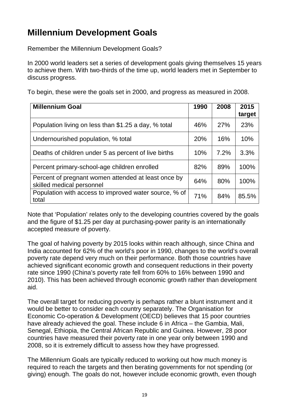## **Millennium Development Goals**

Remember the Millennium Development Goals?

In 2000 world leaders set a series of development goals giving themselves 15 years to achieve them. With two-thirds of the time up, world leaders met in September to discuss progress.

To begin, these were the goals set in 2000, and progress as measured in 2008.

| <b>Millennium Goal</b>                                                           | 1990 | 2008       | 2015<br>target |
|----------------------------------------------------------------------------------|------|------------|----------------|
| Population living on less than \$1.25 a day, % total                             | 46%  | <b>27%</b> | 23%            |
| Undernourished population, % total                                               | 20%  | 16%        | 10%            |
| Deaths of children under 5 as percent of live births                             | 10%  | 7.2%       | 3.3%           |
| Percent primary-school-age children enrolled                                     | 82%  | 89%        | 100%           |
| Percent of pregnant women attended at least once by<br>skilled medical personnel | 64%  | 80%        | 100%           |
| Population with access to improved water source, % of<br>total                   | 71%  | 84%        | 85.5%          |

Note that 'Population' relates only to the developing countries covered by the goals and the figure of \$1.25 per day at purchasing-power parity is an internationally accepted measure of poverty.

The goal of halving poverty by 2015 looks within reach although, since China and India accounted for 62% of the world's poor in 1990, changes to the world's overall poverty rate depend very much on their performance. Both those countries have achieved significant economic growth and consequent reductions in their poverty rate since 1990 (China's poverty rate fell from 60% to 16% between 1990 and 2010). This has been achieved through economic growth rather than development aid.

The overall target for reducing poverty is perhaps rather a blunt instrument and it would be better to consider each country separately. The Organisation for Economic Co-operation & Development (OECD) believes that 15 poor countries have already achieved the goal. These include 6 in Africa – the Gambia, Mali, Senegal, Ethiopia, the Central African Republic and Guinea. However, 28 poor countries have measured their poverty rate in one year only between 1990 and 2008, so it is extremely difficult to assess how they have progressed.

The Millennium Goals are typically reduced to working out how much money is required to reach the targets and then berating governments for not spending (or giving) enough. The goals do not, however include economic growth, even though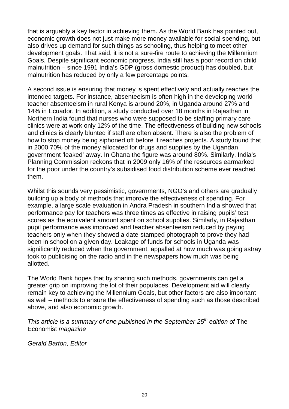that is arguably a key factor in achieving them. As the World Bank has pointed out, economic growth does not just make more money available for social spending, but also drives up demand for such things as schooling, thus helping to meet other development goals. That said, it is not a sure-fire route to achieving the Millennium Goals. Despite significant economic progress, India still has a poor record on child malnutrition – since 1991 India's GDP (gross domestic product) has doubled, but malnutrition has reduced by only a few percentage points.

A second issue is ensuring that money is spent effectively and actually reaches the intended targets. For instance, absenteeism is often high in the developing world – teacher absenteeism in rural Kenya is around 20%, in Uganda around 27% and 14% in Ecuador. In addition, a study conducted over 18 months in Rajasthan in Northern India found that nurses who were supposed to be staffing primary care clinics were at work only 12% of the time. The effectiveness of building new schools and clinics is clearly blunted if staff are often absent. There is also the problem of how to stop money being siphoned off before it reaches projects. A study found that in 2000 70% of the money allocated for drugs and supplies by the Ugandan government 'leaked' away. In Ghana the figure was around 80%. Similarly, India's Planning Commission reckons that in 2009 only 16% of the resources earmarked for the poor under the country's subsidised food distribution scheme ever reached them.

Whilst this sounds very pessimistic, governments, NGO's and others are gradually building up a body of methods that improve the effectiveness of spending. For example, a large scale evaluation in Andra Pradesh in southern India showed that performance pay for teachers was three times as effective in raising pupils' test scores as the equivalent amount spent on school supplies. Similarly, in Rajasthan pupil performance was improved and teacher absenteeism reduced by paying teachers only when they showed a date-stamped photograph to prove they had been in school on a given day. Leakage of funds for schools in Uganda was significantly reduced when the government, appalled at how much was going astray took to publicising on the radio and in the newspapers how much was being allotted.

The World Bank hopes that by sharing such methods, governments can get a greater grip on improving the lot of their populaces. Development aid will clearly remain key to achieving the Millennium Goals, but other factors are also important as well – methods to ensure the effectiveness of spending such as those described above, and also economic growth.

This article is a summary of one published in the September  $25<sup>th</sup>$  edition of The Economist magazine

Gerald Barton, Editor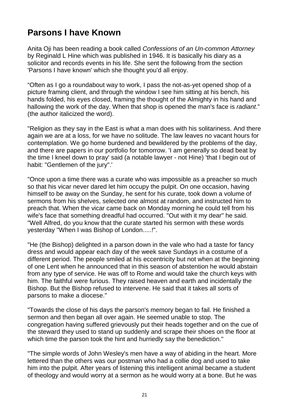## **Parsons I have Known**

Anita Oii has been reading a book called Confessions of an Un-common Attorney by Reginald L Hine which was published in 1946. It is basically his diary as a solicitor and records events in his life. She sent the following from the section 'Parsons I have known' which she thought you'd all enjoy.

"Often as I go a roundabout way to work, I pass the not-as-yet opened shop of a picture framing client, and through the window I see him sitting at his bench, his hands folded, his eyes closed, framing the thought of the Almighty in his hand and hallowing the work of the day. When that shop is opened the man's face is radiant." (the author italicized the word).

"Religion as they say in the East is what a man does with his solitariness. And there again we are at a loss, for we have no solitude. The law leaves no vacant hours for contemplation. We go home burdened and bewildered by the problems of the day, and there are papers in our portfolio for tomorrow. 'I am generally so dead beat by the time I kneel down to pray' said (a notable lawyer - not Hine) 'that I begin out of habit: "Gentlemen of the jury".'

"Once upon a time there was a curate who was impossible as a preacher so much so that his vicar never dared let him occupy the pulpit. On one occasion, having himself to be away on the Sunday, he sent for his curate, took down a volume of sermons from his shelves, selected one almost at random, and instructed him to preach that. When the vicar came back on Monday morning he could tell from his wife's face that something dreadful had occurred. "Out with it my dear" he said. "Well Alfred, do you know that the curate started his sermon with these words yesterday "When I was Bishop of London.....!".

"He (the Bishop) delighted in a parson down in the vale who had a taste for fancy dress and would appear each day of the week save Sundays in a costume of a different period. The people smiled at his eccentricity but not when at the beginning of one Lent when he announced that in this season of abstention he would abstain from any type of service. He was off to Rome and would take the church keys with him. The faithful were furious. They raised heaven and earth and incidentally the Bishop. But the Bishop refused to intervene. He said that it takes all sorts of parsons to make a diocese."

"Towards the close of his days the parson's memory began to fail. He finished a sermon and then began all over again. He seemed unable to stop. The congregation having suffered grievously put their heads together and on the cue of the steward they used to stand up suddenly and scrape their shoes on the floor at which time the parson took the hint and hurriedly say the benediction."

"The simple words of John Wesley's men have a way of abiding in the heart. More lettered than the others was our postman who had a collie dog and used to take him into the pulpit. After years of listening this intelligent animal became a student of theology and would worry at a sermon as he would worry at a bone. But he was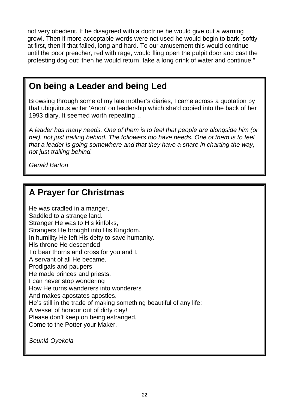not very obedient. If he disagreed with a doctrine he would give out a warning growl. Then if more acceptable words were not used he would begin to bark, softly at first, then if that failed, long and hard. To our amusement this would continue until the poor preacher, red with rage, would fling open the pulpit door and cast the protesting dog out; then he would return, take a long drink of water and continue."

## **On being a Leader and being Led**

Browsing through some of my late mother's diaries, I came across a quotation by that ubiquitous writer 'Anon' on leadership which she'd copied into the back of her 1993 diary. It seemed worth repeating…

A leader has many needs. One of them is to feel that people are alongside him (or her), not just trailing behind. The followers too have needs. One of them is to feel that a leader is going somewhere and that they have a share in charting the way, not just trailing behind.

Gerald Barton

## **A Prayer for Christmas**

He was cradled in a manger, Saddled to a strange land. Stranger He was to His kinfolks, Strangers He brought into His Kingdom. In humility He left His deity to save humanity. His throne He descended To bear thorns and cross for you and I. A servant of all He became. Prodigals and paupers He made princes and priests. I can never stop wondering How He turns wanderers into wonderers And makes apostates apostles. He's still in the trade of making something beautiful of any life; A vessel of honour out of dirty clay! Please don't keep on being estranged, Come to the Potter your Maker.

Seunlá Oyekola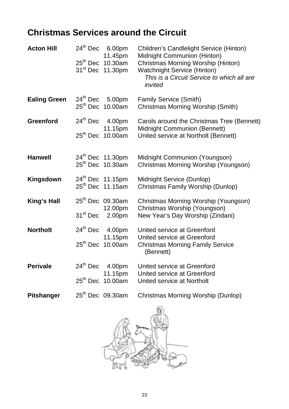## **Christmas Services around the Circuit**

| <b>Acton Hill</b>   |                          | $24th$ Dec 6.00pm<br>11.45pm<br>$25th$ Dec 10.30am<br>31 <sup>st</sup> Dec 11.30pm | <b>Children's Candlelight Service (Hinton)</b><br>Midnight Communion (Hinton)<br>Christmas Morning Worship (Hinton)<br><b>Watchnight Service (Hinton)</b><br>This is a Circuit Service to which all are<br>invited |
|---------------------|--------------------------|------------------------------------------------------------------------------------|--------------------------------------------------------------------------------------------------------------------------------------------------------------------------------------------------------------------|
| <b>Ealing Green</b> |                          | $24th$ Dec 5.00pm<br>$25th$ Dec 10.00am                                            | <b>Family Service (Smith)</b><br><b>Christmas Morning Worship (Smith)</b>                                                                                                                                          |
| <b>Greenford</b>    |                          | $24th$ Dec 4.00pm<br>11.15pm<br>$25th$ Dec 10.00am                                 | Carols around the Christmas Tree (Bennett)<br>Midnight Communion (Bennett)<br>United service at Northolt (Bennett)                                                                                                 |
| <b>Hanwell</b>      |                          | $24th$ Dec 11.30pm<br>25 <sup>th</sup> Dec 10.30am                                 | Midnight Communion (Youngson)<br>Christmas Morning Worship (Youngson)                                                                                                                                              |
| <b>Kingsdown</b>    |                          | 24th Dec 11.15pm<br>25 <sup>th</sup> Dec 11.15am                                   | Midnight Service (Dunlop)<br>Christmas Family Worship (Dunlop)                                                                                                                                                     |
| <b>King's Hall</b>  |                          | 25 <sup>th</sup> Dec 09.30am<br>12.00pm<br>31 <sup>st</sup> Dec 2.00pm             | Christmas Morning Worship (Youngson)<br>Christmas Worship (Youngson)<br>New Year's Day Worship (Zindani)                                                                                                           |
| <b>Northolt</b>     |                          | $24th$ Dec 4.00pm<br>11.15pm<br>25 <sup>th</sup> Dec 10.00am                       | United service at Greenford<br>United service at Greenford<br><b>Christmas Morning Family Service</b><br>(Bennett)                                                                                                 |
| <b>Perivale</b>     | $24th$ Dec<br>$25th$ Dec | 4.00pm<br>11.15pm<br>10.00am                                                       | United service at Greenford<br>United service at Greenford<br>United service at Northolt                                                                                                                           |
| <b>Pitshanger</b>   |                          | 25 <sup>th</sup> Dec 09.30am                                                       | Christmas Morning Worship (Dunlop)                                                                                                                                                                                 |